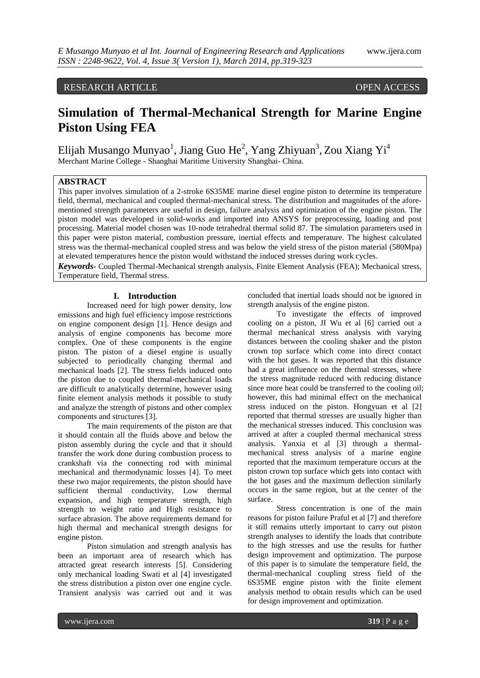# RESEARCH ARTICLE OPEN ACCESS

# **Simulation of Thermal-Mechanical Strength for Marine Engine Piston Using FEA**

Elijah Musango Munyao<sup>1</sup>, Jiang Guo He<sup>2</sup>, Yang Zhiyuan<sup>3</sup>, Zou Xiang Yi<sup>4</sup> Merchant Marine College - Shanghai Maritime University Shanghai- China.

# **ABSTRACT**

This paper involves simulation of a 2-stroke 6S35ME marine diesel engine piston to determine its temperature field, thermal, mechanical and coupled thermal-mechanical stress. The distribution and magnitudes of the aforementioned strength parameters are useful in design, failure analysis and optimization of the engine piston. The piston model was developed in solid-works and imported into ANSYS for preprocessing, loading and post processing. Material model chosen was 10-node tetrahedral thermal solid 87. The simulation parameters used in this paper were piston material, combustion pressure, inertial effects and temperature. The highest calculated stress was the thermal-mechanical coupled stress and was below the yield stress of the piston material (580Mpa) at elevated temperatures hence the piston would withstand the induced stresses during work cycles.

*Keywords-* Coupled Thermal-Mechanical strength analysis, Finite Element Analysis (FEA); Mechanical stress, Temperature field, Thermal stress.

# **I. Introduction**

Increased need for high power density, low emissions and high fuel efficiency impose restrictions on engine component design [1]. Hence design and analysis of engine components has become more complex. One of these components is the engine piston. The piston of a diesel engine is usually subjected to periodically changing thermal and mechanical loads [2]. The stress fields induced onto the piston due to coupled thermal-mechanical loads are difficult to analytically determine, however using finite element analysis methods it possible to study and analyze the strength of pistons and other complex components and structures [3].

The main requirements of the piston are that it should contain all the fluids above and below the piston assembly during the cycle and that it should transfer the work done during combustion process to crankshaft via the connecting rod with minimal mechanical and thermodynamic losses [4]. To meet these two major requirements, the piston should have sufficient thermal conductivity, Low thermal expansion, and high temperature strength, high strength to weight ratio and High resistance to surface abrasion. The above requirements demand for high thermal and mechanical strength designs for engine piston.

Piston simulation and strength analysis has been an important area of research which has attracted great research interests [5]. Considering only mechanical loading Swati et al [4] investigated the stress distribution a piston over one engine cycle. Transient analysis was carried out and it was

concluded that inertial loads should not be ignored in strength analysis of the engine piston.

To investigate the effects of improved cooling on a piston, JI Wu et al [6] carried out a thermal mechanical stress analysis with varying distances between the cooling shaker and the piston crown top surface which come into direct contact with the hot gases. It was reported that this distance had a great influence on the thermal stresses, where the stress magnitude reduced with reducing distance since more heat could be transferred to the cooling oil; however, this had minimal effect on the mechanical stress induced on the piston. Hongyuan et al [2] reported that thermal stresses are usually higher than the mechanical stresses induced. This conclusion was arrived at after a coupled thermal mechanical stress analysis. Yanxia et al [3] through a thermalmechanical stress analysis of a marine engine reported that the maximum temperature occurs at the piston crown top surface which gets into contact with the hot gases and the maximum deflection similarly occurs in the same region, but at the center of the surface.

Stress concentration is one of the main reasons for piston failure Praful et al [7] and therefore it still remains utterly important to carry out piston strength analyses to identify the loads that contribute to the high stresses and use the results for further design improvement and optimization. The purpose of this paper is to simulate the temperature field, the thermal-mechanical coupling stress field of the 6S35ME engine piston with the finite element analysis method to obtain results which can be used for design improvement and optimization.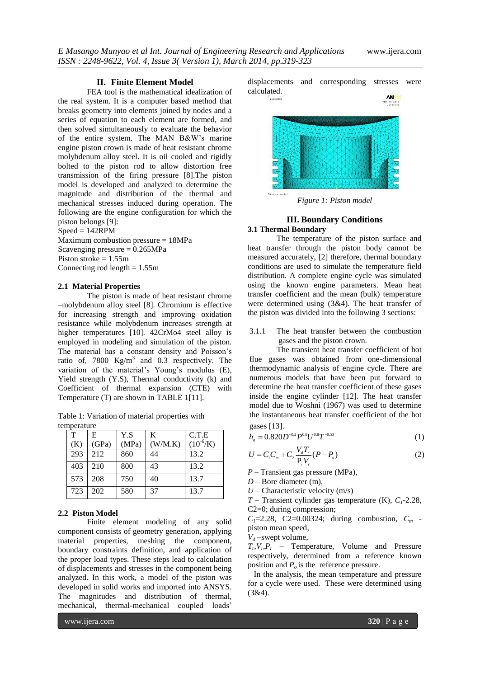# **II. Finite Element Model**

FEA tool is the mathematical idealization of the real system. It is a computer based method that breaks geometry into elements joined by nodes and a series of equation to each element are formed, and then solved simultaneously to evaluate the behavior of the entire system. The MAN B&W's marine engine piston crown is made of heat resistant chrome molybdenum alloy steel. It is oil cooled and rigidly bolted to the piston rod to allow distortion free transmission of the firing pressure [8].The piston model is developed and analyzed to determine the magnitude and distribution of the thermal and mechanical stresses induced during operation. The following are the engine configuration for which the piston belongs [9]:

 $Speed = 142RPM$ 

Maximum combustion pressure = 18MPa Scavenging pressure  $= 0.265 MPa$ Piston stroke = 1.55m Connecting rod length  $= 1.55$ m

#### **2.1 Material Properties**

The piston is made of heat resistant chrome –molybdenum alloy steel [8]. Chromium is effective for increasing strength and improving oxidation resistance while molybdenum increases strength at higher temperatures [10]. 42CrMo4 steel alloy is employed in modeling and simulation of the piston. The material has a constant density and Poisson's ratio of, 7800  $Kg/m<sup>3</sup>$  and 0.3 respectively. The variation of the material's Young's modulus (E), Yield strength (Y.S), Thermal conductivity (k) and Coefficient of thermal expansion (CTE) with Temperature (T) are shown in TABLE 1[11].

Table 1: Variation of material properties with temperature

| T   | E     | Y.S   | K       | C.T.E          |  |
|-----|-------|-------|---------|----------------|--|
| (K) | (GPa) | (MPa) | (W/M.K) | $(10^{-6}$ /K) |  |
| 293 | 212   | 860   | 44      | 13.2           |  |
| 403 | 210   | 800   | 43      | 13.2           |  |
| 573 | 208   | 750   | 40      | 13.7           |  |
| 723 | 202   | 580   | 37      | 13.7           |  |

#### **2.2 Piston Model**

Finite element modeling of any solid component consists of geometry generation, applying material properties, meshing the component, boundary constraints definition, and application of the proper load types. These steps lead to calculation of displacements and stresses in the component being analyzed. In this work, a model of the piston was developed in solid works and imported into ANSYS. The magnitudes and distribution of thermal, mechanical, thermal-mechanical coupled loads'

displacements and corresponding stresses were calculated.





*Figure 1: Piston model*

# **III. Boundary Conditions**

#### **3.1 Thermal Boundary**

The temperature of the piston surface and heat transfer through the piston body cannot be measured accurately, [2] therefore, thermal boundary conditions are used to simulate the temperature field distribution. A complete engine cycle was simulated using the known engine parameters. Mean heat transfer coefficient and the mean (bulk) temperature were determined using (3&4). The heat transfer of the piston was divided into the following 3 sections:

3.1.1 The heat transfer between the combustion gases and the piston crown.

The transient heat transfer coefficient of hot flue gases was obtained from one-dimensional thermodynamic analysis of engine cycle. There are numerous models that have been put forward to determine the heat transfer coefficient of these gases inside the engine cylinder [12]. The heat transfer model due to Woshni (1967) was used to determine the instantaneous heat transfer coefficient of the hot gases [13].

$$
h_{g} = 0.820 D^{-0.2} P^{0.8} U^{0.8} T^{-0.53}
$$
 (1)

$$
U = C_1 C_m + C_2 \frac{V_d T_r}{P_r V_r} (P - P_o)
$$
 (2)

- *P* Transient gas pressure (MPa),
- *D*  Bore diameter (m),
- $U$  Characteristic velocity (m/s)
- *T*  Transient cylinder gas temperature (K), *C1*-2.28, C2=0; during compression;

 $C_1 = 2.28$ , C<sub>2</sub>=0.00324; during combustion,  $C_m$ piston mean speed,

 $V_d$  –swept volume,

 $T_r V_r P_r$  – Temperature, Volume and Pressure respectively, determined from a reference known position and  $P<sub>o</sub>$  is the reference pressure.

 In the analysis, the mean temperature and pressure for a cycle were used. These were determined using (3&4).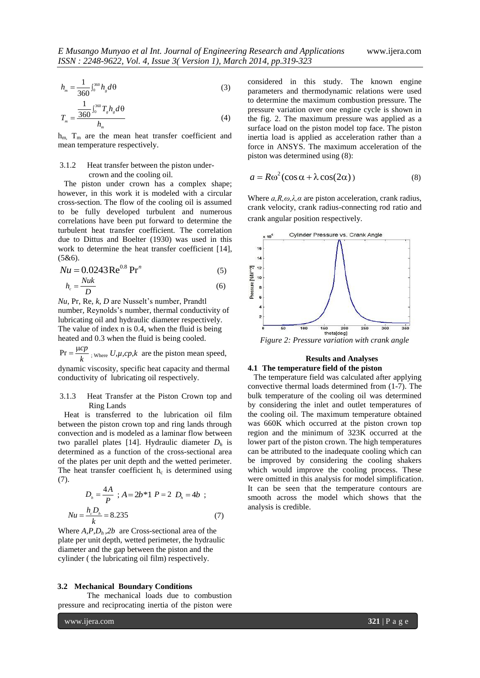$$
h_m = \frac{1}{360} \int_0^{360} h_g d\theta \tag{3}
$$

$$
T_m = \frac{\frac{1}{360} \int_0^{360} T_s h_s d\theta}{h_m}
$$
 (4)

 $h_{m}$ ,  $T_{m}$  are the mean heat transfer coefficient and mean temperature respectively.

# 3.1.2 Heat transfer between the piston undercrown and the cooling oil.

 The piston under crown has a complex shape; however, in this work it is modeled with a circular cross-section. The flow of the cooling oil is assumed to be fully developed turbulent and numerous correlations have been put forward to determine the turbulent heat transfer coefficient. The correlation due to Dittus and Boelter (1930) was used in this work to determine the heat transfer coefficient [14], (5&6).

$$
Nu = 0.0243 \,\text{Re}^{0.8} \,\text{Pr}^n \tag{5}
$$

$$
h_c = \frac{Nuk}{D} \tag{6}
$$

*Nu*, Pr, Re, *k, D* are Nusselt's number, Prandtl number, Reynolds's number, thermal conductivity of lubricating oil and hydraulic diameter respectively. The value of index n is 0.4, when the fluid is being heated and 0.3 when the fluid is being cooled.

 $Pr = \frac{\mu cp}{k}$  $=\frac{\mu cp}{l}$ ; <sub>Where</sub>  $U, \mu, cp, k$  are the piston mean speed,

dynamic viscosity, specific heat capacity and thermal conductivity of lubricating oil respectively.

### 3.1.3 Heat Transfer at the Piston Crown top and Ring Lands

 Heat is transferred to the lubrication oil film between the piston crown top and ring lands through convection and is modeled as a laminar flow between two parallel plates [14]. Hydraulic diameter  $D_h$  is determined as a function of the cross-sectional area of the plates per unit depth and the wetted perimeter. The heat transfer coefficient  $h_c$  is determined using (7).

$$
D_h = \frac{4A}{P} \; ; A = 2b * 1 \; P = 2 \; D_h = 4b \; ;
$$
  
\n
$$
Nu = \frac{h_c D_h}{k} = 8.235 \tag{7}
$$

Where  $A$ ,  $P$ ,  $D_h$ ,  $2b$  are Cross-sectional area of the plate per unit depth, wetted perimeter, the hydraulic diameter and the gap between the piston and the cylinder ( the lubricating oil film) respectively.

#### **3.2 Mechanical Boundary Conditions**

The mechanical loads due to combustion pressure and reciprocating inertia of the piston were considered in this study. The known engine parameters and thermodynamic relations were used to determine the maximum combustion pressure. The pressure variation over one engine cycle is shown in the fig. 2. The maximum pressure was applied as a surface load on the piston model top face. The piston inertia load is applied as acceleration rather than a force in ANSYS. The maximum acceleration of the piston was determined using (8):

$$
a = R\omega^2 (\cos \alpha + \lambda \cos(2\alpha))
$$
 (8)

Where  $a, R, \omega, \lambda, \alpha$  are piston acceleration, crank radius, crank velocity, crank radius-connecting rod ratio and crank angular position respectively.



# **Results and Analyses 4.1 The temperature field of the piston**

 The temperature field was calculated after applying convective thermal loads determined from (1-7). The bulk temperature of the cooling oil was determined by considering the inlet and outlet temperatures of the cooling oil. The maximum temperature obtained was 660K which occurred at the piston crown top region and the minimum of 323K occurred at the lower part of the piston crown. The high temperatures can be attributed to the inadequate cooling which can be improved by considering the cooling shakers which would improve the cooling process. These were omitted in this analysis for model simplification. It can be seen that the temperature contours are smooth across the model which shows that the analysis is credible.

www.ijera.com **321** | P a g e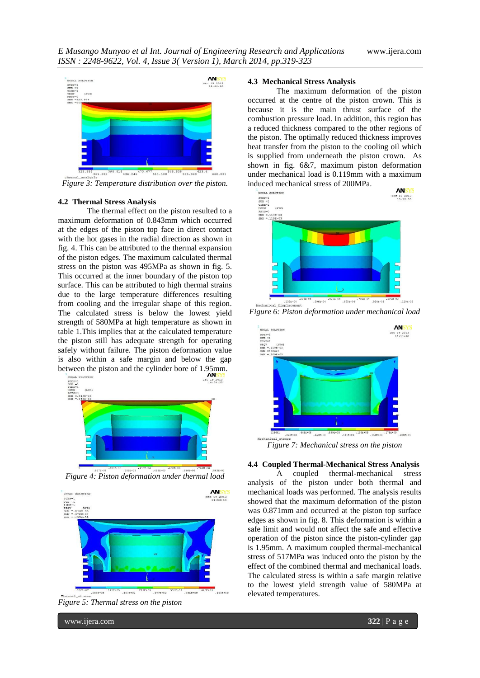

*Figure 3: Temperature distribution over the piston.*

#### **4.2 Thermal Stress Analysis**

The thermal effect on the piston resulted to a maximum deformation of 0.843mm which occurred at the edges of the piston top face in direct contact with the hot gases in the radial direction as shown in fig. 4. This can be attributed to the thermal expansion of the piston edges. The maximum calculated thermal stress on the piston was 495MPa as shown in fig. 5. This occurred at the inner boundary of the piston top surface. This can be attributed to high thermal strains due to the large temperature differences resulting from cooling and the irregular shape of this region. The calculated stress is below the lowest yield strength of 580MPa at high temperature as shown in table 1.This implies that at the calculated temperature the piston still has adequate strength for operating safely without failure. The piston deformation value is also within a safe margin and below the gap between the piston and the cylinder bore of 1.95mm.



<sup>3371</sup><sup>4372-33</sup> *ASI2-33 ASI2-33 ASI2-33 ASI2-33 ASI2-33 ASI2-33 ASI2-33 ASI2-33 ASI2-33 ASI2-33 ASI2-33 ASI2-33 ASI2-33 ASI2-33 ASI2-33 ASI2-33 ASI2-33 ASI2-33 ASI2-33 ASI2-33 ASI2-*



*Figure 5: Thermal stress on the piston*

www.ijera.com **322** | P a g e

#### **4.3 Mechanical Stress Analysis**

The maximum deformation of the piston occurred at the centre of the piston crown. This is because it is the main thrust surface of the combustion pressure load. In addition, this region has a reduced thickness compared to the other regions of the piston. The optimally reduced thickness improves heat transfer from the piston to the cooling oil which is supplied from underneath the piston crown. As shown in fig. 6&7, maximum piston deformation under mechanical load is 0.119mm with a maximum induced mechanical stress of 200MPa.





*Figure 7: Mechanical stress on the piston*

### **4.4 Coupled Thermal-Mechanical Stress Analysis**

A coupled thermal-mechanical stress analysis of the piston under both thermal and mechanical loads was performed. The analysis results showed that the maximum deformation of the piston was 0.871mm and occurred at the piston top surface edges as shown in fig. 8. This deformation is within a safe limit and would not affect the safe and effective operation of the piston since the piston-cylinder gap is 1.95mm. A maximum coupled thermal-mechanical stress of 517MPa was induced onto the piston by the effect of the combined thermal and mechanical loads. The calculated stress is within a safe margin relative to the lowest yield strength value of 580MPa at elevated temperatures.